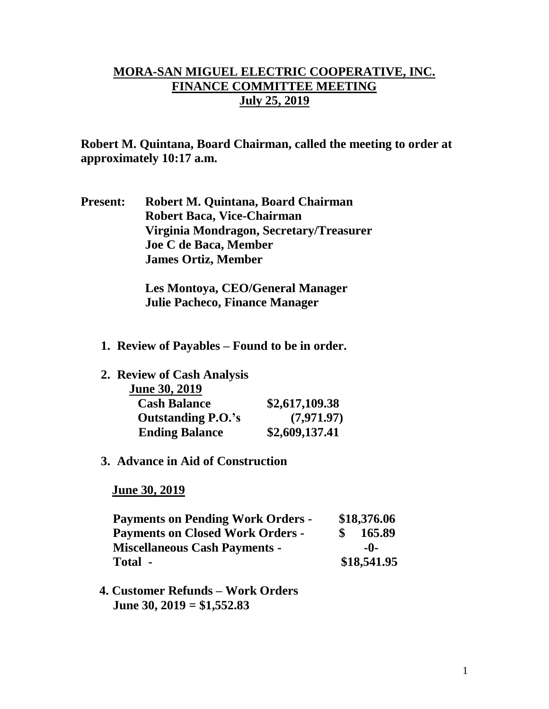## **MORA-SAN MIGUEL ELECTRIC COOPERATIVE, INC. FINANCE COMMITTEE MEETING July 25, 2019**

**Robert M. Quintana, Board Chairman, called the meeting to order at approximately 10:17 a.m.**

**Present: Robert M. Quintana, Board Chairman Robert Baca, Vice-Chairman Virginia Mondragon, Secretary/Treasurer Joe C de Baca, Member James Ortiz, Member**

> **Les Montoya, CEO/General Manager Julie Pacheco, Finance Manager**

- **1. Review of Payables – Found to be in order.**
- **2. Review of Cash Analysis**

| <b>June 30, 2019</b>      |                |
|---------------------------|----------------|
| <b>Cash Balance</b>       | \$2,617,109.38 |
| <b>Outstanding P.O.'s</b> | (7,971.97)     |
| <b>Ending Balance</b>     | \$2,609,137.41 |

## **3. Advance in Aid of Construction**

 **June 30, 2019**

| <b>Payments on Pending Work Orders -</b> |  | \$18,376.06 |  |
|------------------------------------------|--|-------------|--|
| <b>Payments on Closed Work Orders -</b>  |  | 165.89      |  |
| <b>Miscellaneous Cash Payments -</b>     |  | -0-         |  |
| Total -                                  |  | \$18,541.95 |  |

 **4. Customer Refunds – Work Orders June 30, 2019 = \$1,552.83**